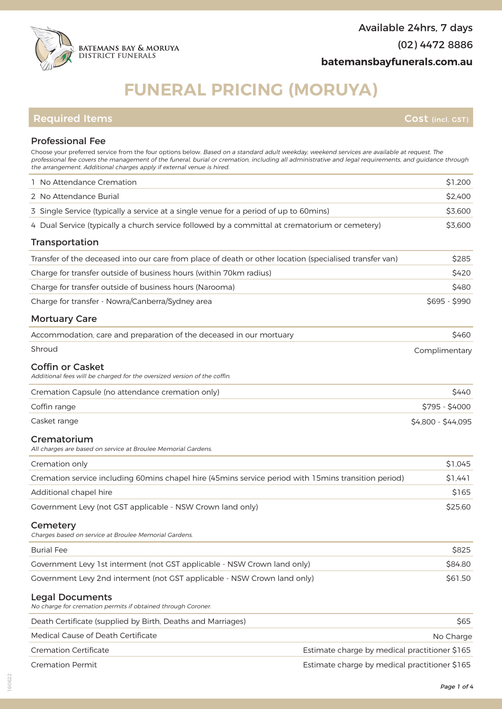# **FUNERAL PRICING (MORUYA)**

## **Required Items Cost (incl. GST)**

#### Professional Fee Choose your preferred service from the four options below. Based on a standard adult weekday, weekend services are available at request. The

| <b>Cremation Permit</b>                                                                                                                                                       | Estimate charge by medical practitioner \$165 |
|-------------------------------------------------------------------------------------------------------------------------------------------------------------------------------|-----------------------------------------------|
| <b>Cremation Certificate</b>                                                                                                                                                  | Estimate charge by medical practitioner \$165 |
| Medical Cause of Death Certificate                                                                                                                                            | No Charge                                     |
| No charge for cremation permits if obtained through Coroner.<br>Death Certificate (supplied by Birth, Deaths and Marriages)                                                   | \$65                                          |
| <b>Legal Documents</b>                                                                                                                                                        |                                               |
| Government Levy 2nd interment (not GST applicable - NSW Crown land only)                                                                                                      | \$61.50                                       |
| Government Levy 1st interment (not GST applicable - NSW Crown land only)                                                                                                      | \$84.80                                       |
| <b>Burial Fee</b>                                                                                                                                                             | \$825                                         |
| Cemetery<br>Charges based on service at Broulee Memorial Gardens.                                                                                                             |                                               |
| Government Levy (not GST applicable - NSW Crown land only)                                                                                                                    | \$25.60                                       |
| Additional chapel hire                                                                                                                                                        | \$165                                         |
| Cremation service including 60mins chapel hire (45mins service period with 15mins transition period)                                                                          | \$1,441                                       |
| Cremation only                                                                                                                                                                | \$1,045                                       |
| Crematorium<br>All charges are based on service at Broulee Memorial Gardens.                                                                                                  |                                               |
| Casket range                                                                                                                                                                  | \$4,800 - \$44,095                            |
| Coffin range                                                                                                                                                                  | \$795 - \$4000                                |
| <b>Coffin or Casket</b><br>Additional fees will be charged for the oversized version of the coffin.<br>Cremation Capsule (no attendance cremation only)                       | \$440                                         |
|                                                                                                                                                                               | Complimentary                                 |
| Accommodation, care and preparation of the deceased in our mortuary<br>Shroud                                                                                                 | \$460                                         |
|                                                                                                                                                                               |                                               |
| <b>Mortuary Care</b>                                                                                                                                                          |                                               |
| Charge for transfer - Nowra/Canberra/Sydney area                                                                                                                              | \$695 - \$990                                 |
| Charge for transfer outside of business hours (Narooma)                                                                                                                       | \$480                                         |
| Transfer of the deceased into our care from place of death or other location (specialised transfer van)<br>Charge for transfer outside of business hours (within 70km radius) | \$285<br>\$420                                |
| <b>Transportation</b>                                                                                                                                                         |                                               |
| 4 Dual Service (typically a church service followed by a committal at crematorium or cemetery)                                                                                | \$3,600                                       |
| 3 Single Service (typically a service at a single venue for a period of up to 60mins)                                                                                         | \$3,600                                       |
| 2 No Attendance Burial                                                                                                                                                        | \$2,400                                       |
| 1 No Attendance Cremation                                                                                                                                                     | \$1,200                                       |
|                                                                                                                                                                               |                                               |



160622

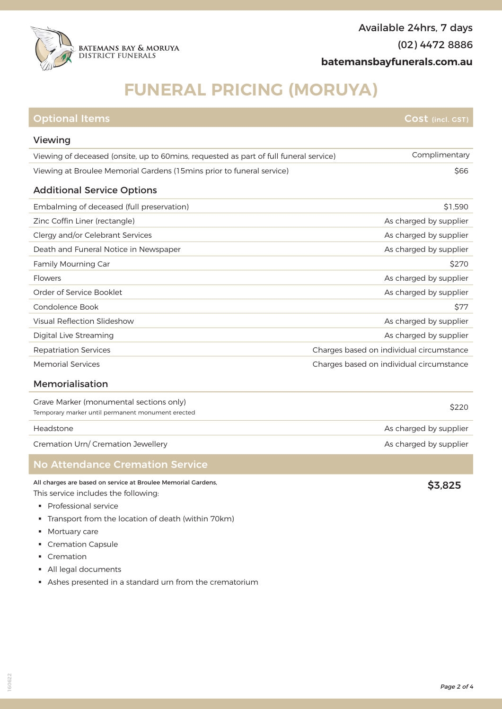

## **FUNERAL PRICING (MORUYA)**

| <b>Optional Items</b>                                                                        | $\mathsf{Cost}$ (incl. GST)              |
|----------------------------------------------------------------------------------------------|------------------------------------------|
| Viewing                                                                                      |                                          |
| Viewing of deceased (onsite, up to 60mins, requested as part of full funeral service)        | Complimentary                            |
| Viewing at Broulee Memorial Gardens (15 mins prior to funeral service)                       | \$66                                     |
| <b>Additional Service Options</b>                                                            |                                          |
| Embalming of deceased (full preservation)                                                    | \$1.590                                  |
| Zinc Coffin Liner (rectangle)                                                                | As charged by supplier                   |
| Clergy and/or Celebrant Services                                                             | As charged by supplier                   |
| Death and Funeral Notice in Newspaper                                                        | As charged by supplier                   |
| Family Mourning Car                                                                          | \$270                                    |
| Flowers                                                                                      | As charged by supplier                   |
| Order of Service Booklet                                                                     | As charged by supplier                   |
| Condolence Book                                                                              | <b>\$77</b>                              |
| <b>Visual Reflection Slideshow</b>                                                           | As charged by supplier                   |
| Digital Live Streaming                                                                       | As charged by supplier                   |
| <b>Repatriation Services</b>                                                                 | Charges based on individual circumstance |
| <b>Memorial Services</b>                                                                     | Charges based on individual circumstance |
| Memorialisation                                                                              |                                          |
| Grave Marker (monumental sections only)<br>Temporary marker until permanent monument erected | \$220                                    |
| Headstone                                                                                    | As charged by supplier                   |

Cremation Urn/ Cremation Jewellery **As charged by supplier** Cremation Urn/ Cremation Jewellery **As charged by supplier** 

## No Attendance Cremation Service

All charges are based on service at Broulee Memorial Gardens, This service includes the following:

- § Professional service
- § Transport from the location of death (within 70km)
- Mortuary care
- § Cremation Capsule
- § Cremation
- § All legal documents
- § Ashes presented in a standard urn from the crematorium

\$3,825